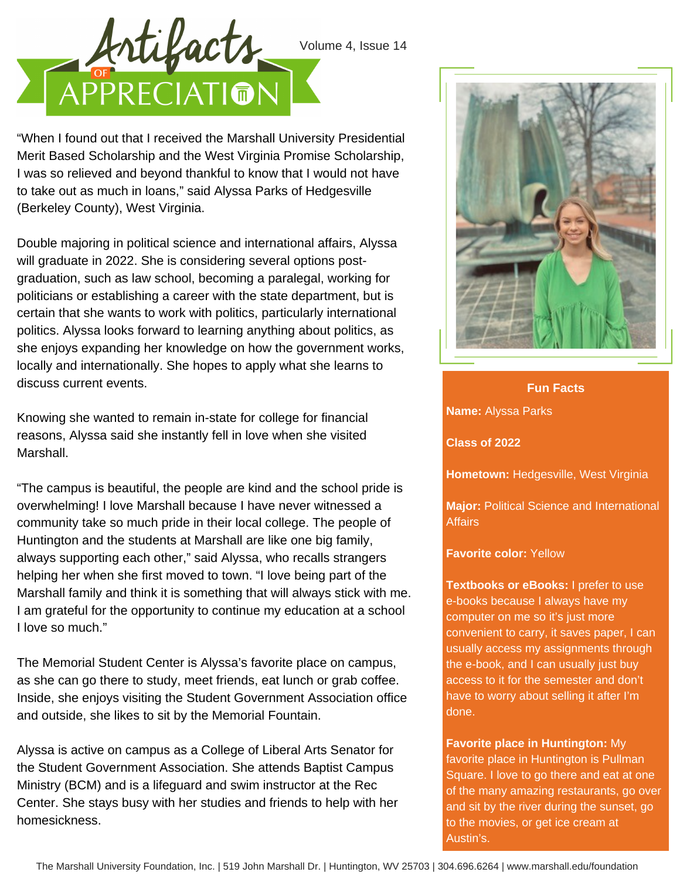

"When I found out that I received the Marshall University Presidential Merit Based Scholarship and the West Virginia Promise Scholarship, I was so relieved and beyond thankful to know that I would not have to take out as much in loans," said Alyssa Parks of Hedgesville (Berkeley County), West Virginia.

Double majoring in political science and international affairs, Alyssa will graduate in 2022. She is considering several options postgraduation, such as law school, becoming a paralegal, working for politicians or establishing a career with the state department, but is certain that she wants to work with politics, particularly international politics. Alyssa looks forward to learning anything about politics, as she enjoys expanding her knowledge on how the government works, locally and internationally. She hopes to apply what she learns to discuss current events.

Knowing she wanted to remain in-state for college for financial reasons, Alyssa said she instantly fell in love when she visited Marshall.

"The campus is beautiful, the people are kind and the school pride is overwhelming! I love Marshall because I have never witnessed a community take so much pride in their local college. The people of Huntington and the students at Marshall are like one big family, always supporting each other," said Alyssa, who recalls strangers helping her when she first moved to town. "I love being part of the Marshall family and think it is something that will always stick with me. I am grateful for the opportunity to continue my education at a school I love so much."

The Memorial Student Center is Alyssa's favorite place on campus, as she can go there to study, meet friends, eat lunch or grab coffee. Inside, she enjoys visiting the Student Government Association office and outside, she likes to sit by the Memorial Fountain.

Alyssa is active on campus as a College of Liberal Arts Senator for the Student Government Association. She attends Baptist Campus Ministry (BCM) and is a lifeguard and swim instructor at the Rec Center. She stays busy with her studies and friends to help with her homesickness.



**Name:** Alyssa Parks **Fun Facts**

**Class of 2022**

**Hometown:** Hedgesville, West Virginia

**Major:** Political Science and International **Affairs** 

**Favorite color:** Yellow

**Textbooks or eBooks:** I prefer to use e-books because I always have my computer on me so it's just more convenient to carry, it saves paper, I can usually access my assignments through the e-book, and I can usually just buy access to it for the semester and don't have to worry about selling it after I'm done.

**Favorite place in Huntington:** My favorite place in Huntington is Pullman Square. I love to go there and eat at one of the many amazing restaurants, go over and sit by the river during the sunset, go to the movies, or get ice cream at Austin's.